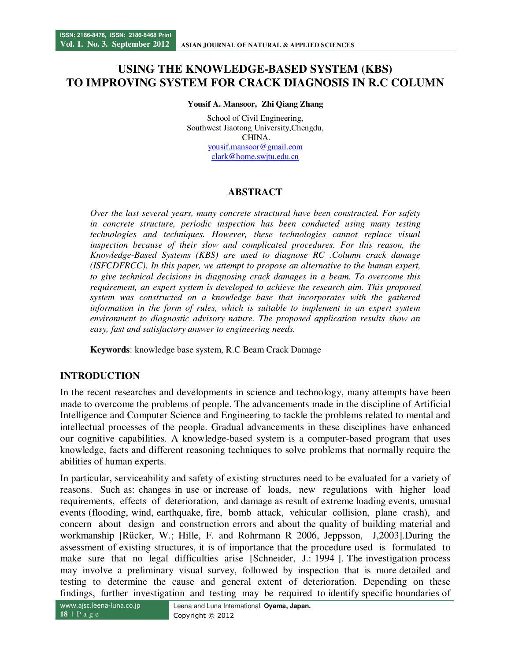# **USING THE KNOWLEDGE-BASED SYSTEM (KBS) TO IMPROVING SYSTEM FOR CRACK DIAGNOSIS IN R.C COLUMN**

**Yousif A. Mansoor, Zhi Qiang Zhang**

School of Civil Engineering, Southwest Jiaotong University,Chengdu, CHINA. yousif.mansoor@gmail.com clark@home.swjtu.edu.cn

# **ABSTRACT**

*Over the last several years, many concrete structural have been constructed. For safety in concrete structure, periodic inspection has been conducted using many testing technologies and techniques. However, these technologies cannot replace visual inspection because of their slow and complicated procedures. For this reason, the Knowledge-Based Systems (KBS) are used to diagnose RC .Column crack damage (ISFCDFRCC). In this paper, we attempt to propose an alternative to the human expert, to give technical decisions in diagnosing crack damages in a beam. To overcome this requirement, an expert system is developed to achieve the research aim. This proposed system was constructed on a knowledge base that incorporates with the gathered information in the form of rules, which is suitable to implement in an expert system environment to diagnostic advisory nature. The proposed application results show an easy, fast and satisfactory answer to engineering needs.* 

**Keywords**: knowledge base system, R.C Beam Crack Damage

### **INTRODUCTION**

In the recent researches and developments in science and technology, many attempts have been made to overcome the problems of people. The advancements made in the discipline of Artificial Intelligence and Computer Science and Engineering to tackle the problems related to mental and intellectual processes of the people. Gradual advancements in these disciplines have enhanced our cognitive capabilities. A knowledge-based system is a computer-based program that uses knowledge, facts and different reasoning techniques to solve problems that normally require the abilities of human experts.

In particular, serviceability and safety of existing structures need to be evaluated for a variety of reasons. Such as: changes in use or increase of loads, new regulations with higher load requirements, effects of deterioration, and damage as result of extreme loading events, unusual events (flooding, wind, earthquake, fire, bomb attack, vehicular collision, plane crash), and concern about design and construction errors and about the quality of building material and workmanship [Rücker, W.; Hille, F. and Rohrmann R 2006, Jeppsson, J,2003].During the assessment of existing structures, it is of importance that the procedure used is formulated to make sure that no legal difficulties arise [Schneider, J.: 1994 ]. The investigation process may involve a preliminary visual survey, followed by inspection that is more detailed and testing to determine the cause and general extent of deterioration. Depending on these findings, further investigation and testing may be required to identify specific boundaries of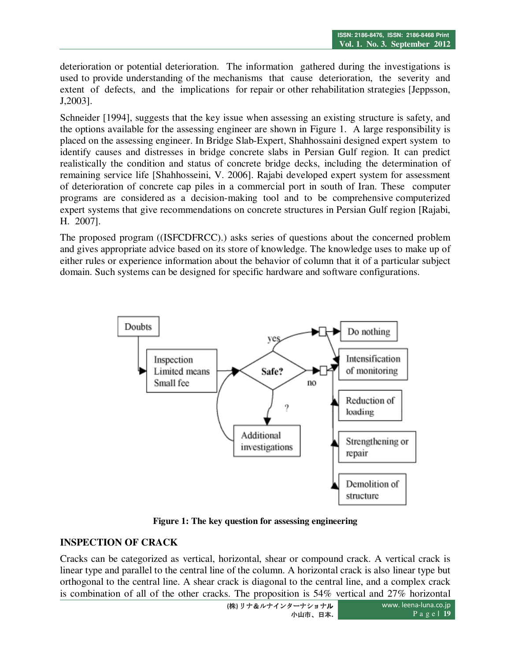deterioration or potential deterioration. The information gathered during the investigations is used to provide understanding of the mechanisms that cause deterioration, the severity and extent of defects, and the implications for repair or other rehabilitation strategies [Jeppsson, J,2003].

Schneider [1994], suggests that the key issue when assessing an existing structure is safety, and the options available for the assessing engineer are shown in Figure 1. A large responsibility is placed on the assessing engineer. In Bridge Slab-Expert, Shahhossaini designed expert system to identify causes and distresses in bridge concrete slabs in Persian Gulf region. It can predict realistically the condition and status of concrete bridge decks, including the determination of remaining service life [Shahhosseini, V. 2006]. Rajabi developed expert system for assessment of deterioration of concrete cap piles in a commercial port in south of Iran. These computer programs are considered as a decision-making tool and to be comprehensive computerized expert systems that give recommendations on concrete structures in Persian Gulf region [Rajabi, H. 2007].

The proposed program ((ISFCDFRCC).) asks series of questions about the concerned problem and gives appropriate advice based on its store of knowledge. The knowledge uses to make up of either rules or experience information about the behavior of column that it of a particular subject domain. Such systems can be designed for specific hardware and software configurations.



**Figure 1: The key question for assessing engineering** 

### **INSPECTION OF CRACK**

Cracks can be categorized as vertical, horizontal, shear or compound crack. A vertical crack is linear type and parallel to the central line of the column. A horizontal crack is also linear type but orthogonal to the central line. A shear crack is diagonal to the central line, and a complex crack is combination of all of the other cracks. The proposition is 54% vertical and 27% horizontal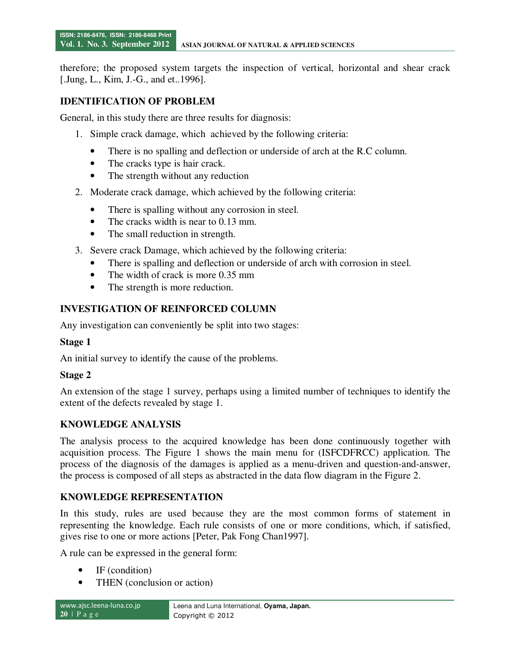therefore; the proposed system targets the inspection of vertical, horizontal and shear crack [.Jung, L., Kim, J.-G., and et. 1996].

# **IDENTIFICATION OF PROBLEM**

General, in this study there are three results for diagnosis:

- 1. Simple crack damage, which achieved by the following criteria:
	- There is no spalling and deflection or underside of arch at the R.C column.
	- The cracks type is hair crack.
	- The strength without any reduction
- 2. Moderate crack damage, which achieved by the following criteria:
	- There is spalling without any corrosion in steel.
	- The cracks width is near to 0.13 mm.
	- The small reduction in strength.
- 3. Severe crack Damage, which achieved by the following criteria:
	- There is spalling and deflection or underside of arch with corrosion in steel.
	- The width of crack is more 0.35 mm
	- The strength is more reduction.

### **INVESTIGATION OF REINFORCED COLUMN**

Any investigation can conveniently be split into two stages:

### **Stage 1**

An initial survey to identify the cause of the problems.

### **Stage 2**

An extension of the stage 1 survey, perhaps using a limited number of techniques to identify the extent of the defects revealed by stage 1.

### **KNOWLEDGE ANALYSIS**

The analysis process to the acquired knowledge has been done continuously together with acquisition process. The Figure 1 shows the main menu for (ISFCDFRCC) application. The process of the diagnosis of the damages is applied as a menu-driven and question-and-answer, the process is composed of all steps as abstracted in the data flow diagram in the Figure 2.

### **KNOWLEDGE REPRESENTATION**

In this study, rules are used because they are the most common forms of statement in representing the knowledge. Each rule consists of one or more conditions, which, if satisfied, gives rise to one or more actions [Peter, Pak Fong Chan1997].

A rule can be expressed in the general form:

- IF (condition)
- THEN (conclusion or action)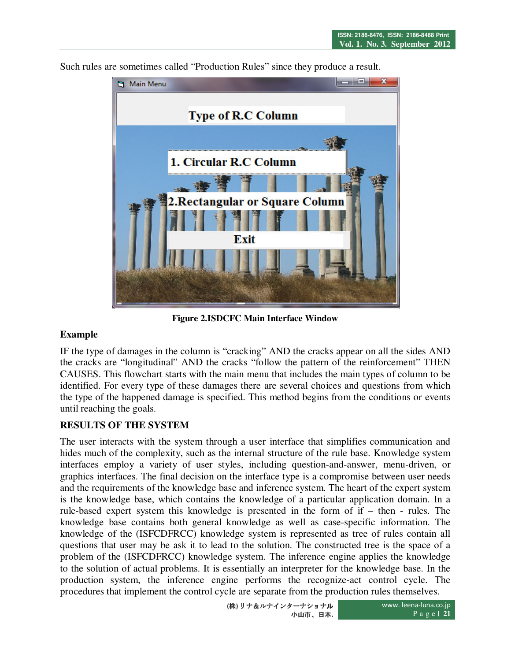Such rules are sometimes called "Production Rules" since they produce a result.



**Figure 2.ISDCFC Main Interface Window** 

### **Example**

IF the type of damages in the column is "cracking" AND the cracks appear on all the sides AND the cracks are "longitudinal" AND the cracks "follow the pattern of the reinforcement" THEN CAUSES. This flowchart starts with the main menu that includes the main types of column to be identified. For every type of these damages there are several choices and questions from which the type of the happened damage is specified. This method begins from the conditions or events until reaching the goals.

### **RESULTS OF THE SYSTEM**

The user interacts with the system through a user interface that simplifies communication and hides much of the complexity, such as the internal structure of the rule base. Knowledge system interfaces employ a variety of user styles, including question-and-answer, menu-driven, or graphics interfaces. The final decision on the interface type is a compromise between user needs and the requirements of the knowledge base and inference system. The heart of the expert system is the knowledge base, which contains the knowledge of a particular application domain. In a rule-based expert system this knowledge is presented in the form of if – then - rules. The knowledge base contains both general knowledge as well as case-specific information. The knowledge of the (ISFCDFRCC) knowledge system is represented as tree of rules contain all questions that user may be ask it to lead to the solution. The constructed tree is the space of a problem of the (ISFCDFRCC) knowledge system. The inference engine applies the knowledge to the solution of actual problems. It is essentially an interpreter for the knowledge base. In the production system, the inference engine performs the recognize-act control cycle. The procedures that implement the control cycle are separate from the production rules themselves.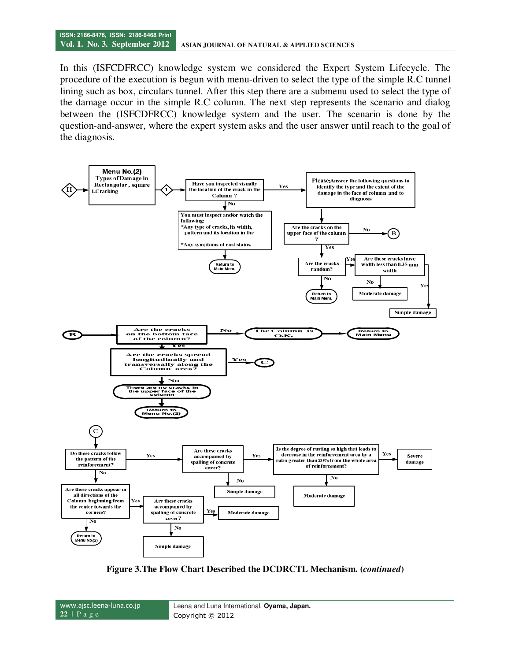In this (ISFCDFRCC) knowledge system we considered the Expert System Lifecycle. The procedure of the execution is begun with menu-driven to select the type of the simple R.C tunnel lining such as box, circulars tunnel. After this step there are a submenu used to select the type of the damage occur in the simple R.C column. The next step represents the scenario and dialog between the (ISFCDFRCC) knowledge system and the user. The scenario is done by the question-and-answer, where the expert system asks and the user answer until reach to the goal of the diagnosis.



**Figure 3.The Flow Chart Described the DCDRCTL Mechanism. (***continued***)** 

www.ajsc.leena-luna.co.jp **22** | P a g e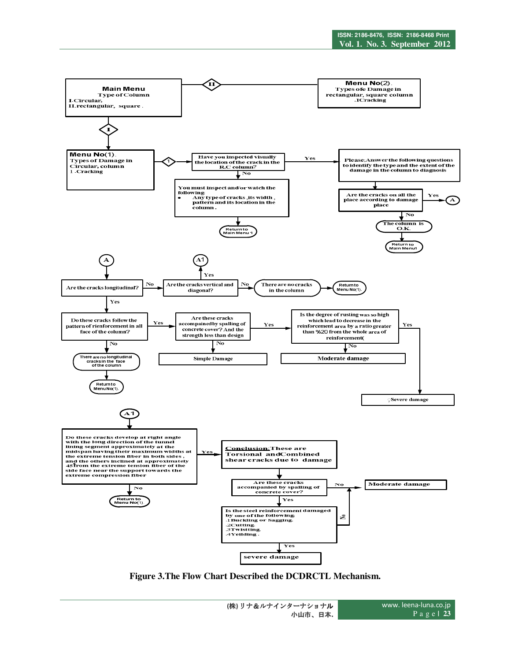

**Figure 3.The Flow Chart Described the DCDRCTL Mechanism.**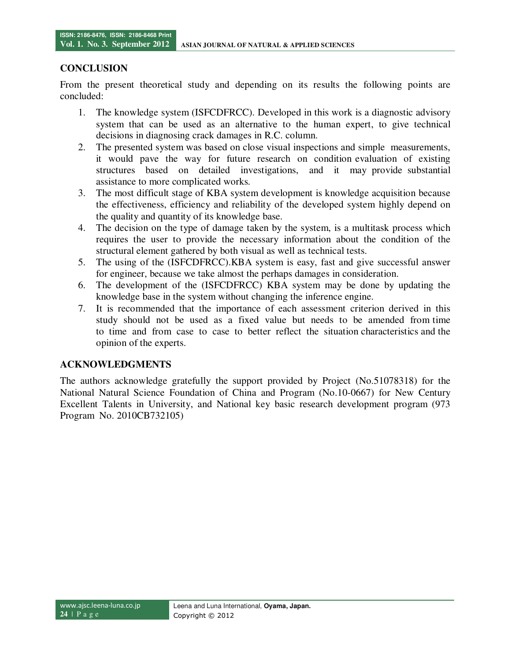### **CONCLUSION**

From the present theoretical study and depending on its results the following points are concluded:

- 1. The knowledge system (ISFCDFRCC). Developed in this work is a diagnostic advisory system that can be used as an alternative to the human expert, to give technical decisions in diagnosing crack damages in R.C. column.
- 2. The presented system was based on close visual inspections and simple measurements, it would pave the way for future research on condition evaluation of existing structures based on detailed investigations, and it may provide substantial assistance to more complicated works.
- 3. The most difficult stage of KBA system development is knowledge acquisition because the effectiveness, efficiency and reliability of the developed system highly depend on the quality and quantity of its knowledge base.
- 4. The decision on the type of damage taken by the system, is a multitask process which requires the user to provide the necessary information about the condition of the structural element gathered by both visual as well as technical tests.
- 5. The using of the (ISFCDFRCC).KBA system is easy, fast and give successful answer for engineer, because we take almost the perhaps damages in consideration.
- 6. The development of the (ISFCDFRCC) KBA system may be done by updating the knowledge base in the system without changing the inference engine.
- 7. It is recommended that the importance of each assessment criterion derived in this study should not be used as a fixed value but needs to be amended from time to time and from case to case to better reflect the situation characteristics and the opinion of the experts.

### **ACKNOWLEDGMENTS**

The authors acknowledge gratefully the support provided by Project (No.51078318) for the National Natural Science Foundation of China and Program (No.10-0667) for New Century Excellent Talents in University, and National key basic research development program (973 Program No. 2010CB732105)